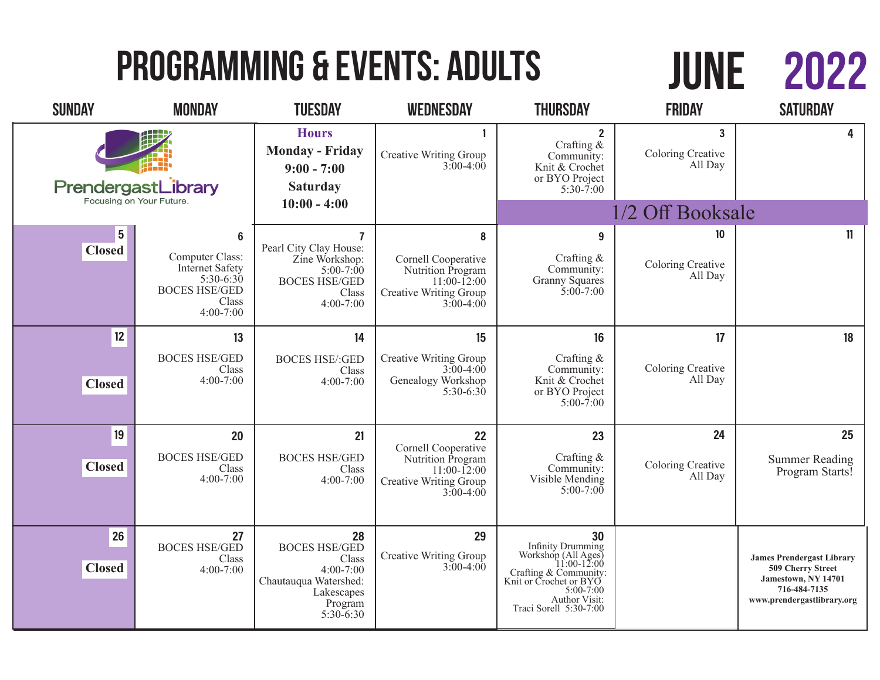# Programming & Events: Adults

# 2022 JUNE

| <b>SUNDAY</b>                                  | <b>MONDAY</b>                                                                                                 | <b>TUESDAY</b>                                                                                                                | <b>WEDNESDAY</b>                                                                                                  | <b>THURSDAY</b>                                                                                                                                                    | <b>FRIDAY</b>                                  | <b>SATURDAY</b>                                                                                                            |
|------------------------------------------------|---------------------------------------------------------------------------------------------------------------|-------------------------------------------------------------------------------------------------------------------------------|-------------------------------------------------------------------------------------------------------------------|--------------------------------------------------------------------------------------------------------------------------------------------------------------------|------------------------------------------------|----------------------------------------------------------------------------------------------------------------------------|
| PrendergastLibrary<br>Focusing on Your Future. |                                                                                                               | <b>Hours</b><br><b>Monday - Friday</b><br>$9:00 - 7:00$<br><b>Saturday</b>                                                    | <b>Creative Writing Group</b><br>$3:00-4:00$                                                                      | $\mathbf{2}$<br>Crafting &<br>Community:<br>Knit & Crochet<br>or BYO Project<br>$5:30 - 7:00$                                                                      | $\overline{3}$<br>Coloring Creative<br>All Day | 4                                                                                                                          |
|                                                |                                                                                                               | $10:00 - 4:00$                                                                                                                |                                                                                                                   | 1/2 Off Booksale                                                                                                                                                   |                                                |                                                                                                                            |
| $5\phantom{.0}$<br><b>Closed</b>               | 6<br>Computer Class:<br><b>Internet Safety</b><br>$5:30-6:30$<br><b>BOCES HSE/GED</b><br>Class<br>$4:00-7:00$ | $\overline{7}$<br>Pearl City Clay House:<br>Zine Workshop:<br>$5:00 - 7:00$<br><b>BOCES HSE/GED</b><br>Class<br>$4:00 - 7:00$ | 8<br>Cornell Cooperative<br>Nutrition Program<br>$11:00 - 12:00$<br>Creative Writing Group<br>$3:00-4:00$         | $\boldsymbol{9}$<br>Crafting &<br>Community:<br><b>Granny Squares</b><br>$5:00 - 7:00$                                                                             | 10<br>Coloring Creative<br>All Day             | 11                                                                                                                         |
| 12                                             | 13                                                                                                            | 14                                                                                                                            | 15                                                                                                                | 16                                                                                                                                                                 | 17                                             | 18                                                                                                                         |
| <b>Closed</b>                                  | <b>BOCES HSE/GED</b><br>Class<br>$4:00 - 7:00$                                                                | <b>BOCES HSE/:GED</b><br>Class<br>$4:00 - 7:00$                                                                               | <b>Creative Writing Group</b><br>$3:00-4:00$<br>Genealogy Workshop<br>$5:30-6:30$                                 | Crafting $&$<br>Community:<br>Knit & Crochet<br>or BYO Project<br>$5:00 - 7:00$                                                                                    | Coloring Creative<br>All Day                   |                                                                                                                            |
| 19<br><b>Closed</b>                            | 20<br><b>BOCES HSE/GED</b><br>Class<br>$4:00 - 7:00$                                                          | 21<br><b>BOCES HSE/GED</b><br>Class<br>$4:00 - 7:00$                                                                          | 22<br>Cornell Cooperative<br>Nutrition Program<br>$11:00 - 12:00$<br><b>Creative Writing Group</b><br>$3:00-4:00$ | 23<br>Crafting &<br>Community:<br>Visible Mending<br>$5:00-7:00$                                                                                                   | 24<br>Coloring Creative<br>All Day             | 25<br><b>Summer Reading</b><br>Program Starts!                                                                             |
| 26<br><b>Closed</b>                            | 27<br><b>BOCES HSE/GED</b><br>Class<br>$4:00 - 7:00$                                                          | 28<br><b>BOCES HSE/GED</b><br>Class<br>$4:00 - 7:00$<br>Chautauqua Watershed:<br>Lakescapes<br>Program<br>$5:30-6:30$         | 29<br><b>Creative Writing Group</b><br>$3:00-4:00$                                                                | 30<br>Infinity Drumming<br>Workshop (All Ages)<br>11:00-12:00<br>Crafting & Community:<br>Knit or Crochet or BYO<br><b>Author Visit:</b><br>Traci Sorell 5:30-7:00 |                                                | <b>James Prendergast Library</b><br>509 Cherry Street<br>Jamestown, NY 14701<br>716-484-7135<br>www.prendergastlibrary.org |